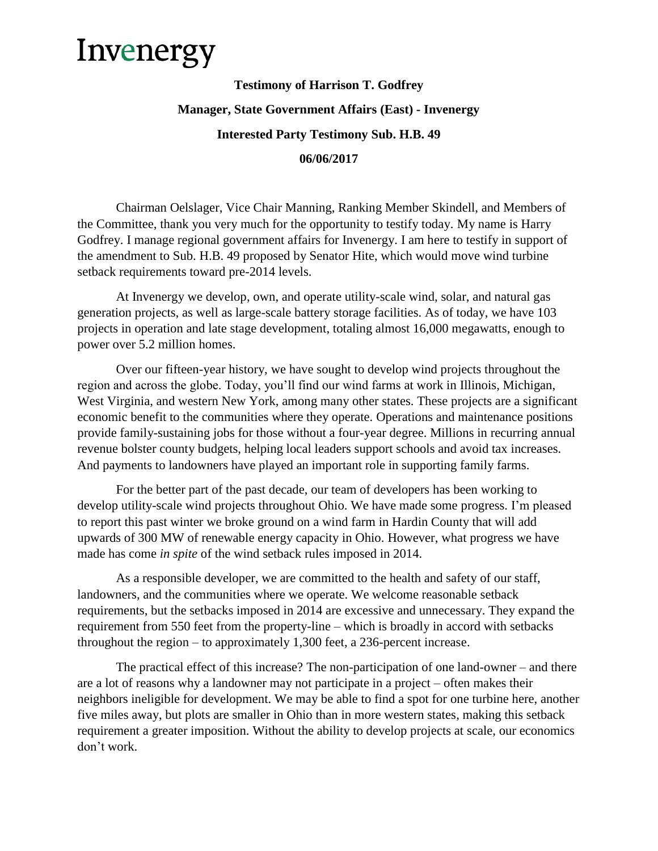## Invenergy

## **Testimony of Harrison T. Godfrey Manager, State Government Affairs (East) - Invenergy Interested Party Testimony Sub. H.B. 49 06/06/2017**

Chairman Oelslager, Vice Chair Manning, Ranking Member Skindell, and Members of the Committee, thank you very much for the opportunity to testify today. My name is Harry Godfrey. I manage regional government affairs for Invenergy. I am here to testify in support of the amendment to Sub. H.B. 49 proposed by Senator Hite, which would move wind turbine setback requirements toward pre-2014 levels.

At Invenergy we develop, own, and operate utility-scale wind, solar, and natural gas generation projects, as well as large-scale battery storage facilities. As of today, we have 103 projects in operation and late stage development, totaling almost 16,000 megawatts, enough to power over 5.2 million homes.

Over our fifteen-year history, we have sought to develop wind projects throughout the region and across the globe. Today, you'll find our wind farms at work in Illinois, Michigan, West Virginia, and western New York, among many other states. These projects are a significant economic benefit to the communities where they operate. Operations and maintenance positions provide family-sustaining jobs for those without a four-year degree. Millions in recurring annual revenue bolster county budgets, helping local leaders support schools and avoid tax increases. And payments to landowners have played an important role in supporting family farms.

For the better part of the past decade, our team of developers has been working to develop utility-scale wind projects throughout Ohio. We have made some progress. I'm pleased to report this past winter we broke ground on a wind farm in Hardin County that will add upwards of 300 MW of renewable energy capacity in Ohio. However, what progress we have made has come *in spite* of the wind setback rules imposed in 2014.

As a responsible developer, we are committed to the health and safety of our staff, landowners, and the communities where we operate. We welcome reasonable setback requirements, but the setbacks imposed in 2014 are excessive and unnecessary. They expand the requirement from 550 feet from the property-line – which is broadly in accord with setbacks throughout the region – to approximately 1,300 feet, a 236-percent increase.

The practical effect of this increase? The non-participation of one land-owner – and there are a lot of reasons why a landowner may not participate in a project – often makes their neighbors ineligible for development. We may be able to find a spot for one turbine here, another five miles away, but plots are smaller in Ohio than in more western states, making this setback requirement a greater imposition. Without the ability to develop projects at scale, our economics don't work.